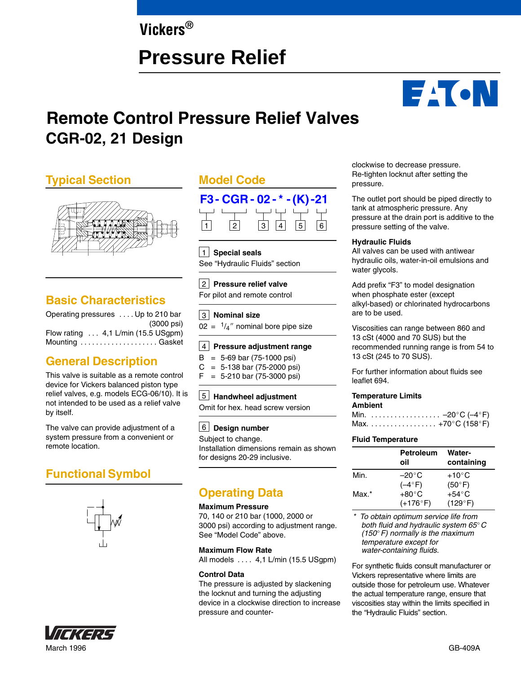## **Vickers®**

# **Pressure Relief**



# **CGR-02, 21 Design Remote Control Pressure Relief Valves**

### **Typical Section**



### **Basic Characteristics**

| Operating pressures  Up to 210 bar         |            |
|--------------------------------------------|------------|
|                                            | (3000 psi) |
| Flow rating $\dots$ 4,1 L/min (15.5 USgpm) |            |
| Mounting  Gasket                           |            |

### **General Description**

This valve is suitable as a remote control device for Vickers balanced piston type relief valves, e.g. models ECG-06/10). It is not intended to be used as a relief valve by itself.

The valve can provide adjustment of a system pressure from a convenient or remote location.

### **Functional Symbol**





### **Model Code**



1 **Special seals** See "Hydraulic Fluids" section

#### 2 **Pressure relief valve** For pilot and remote control

3 **Nominal size**

 $02 = \frac{1}{4}$  nominal bore pipe size

#### **Pressure adjustment range** 4

 $B = 5-69$  bar (75-1000 psi)

 $C = 5-138$  bar (75-2000 psi)  $F = 5-210$  bar (75-3000 psi)

### **Handwheel adjustment** 5

Omit for hex. head screw version

#### **Design number** 6

Subject to change. Installation dimensions remain as shown for designs 20-29 inclusive.

### **Operating Data**

#### **Maximum Pressure**

70, 140 or 210 bar (1000, 2000 or 3000 psi) according to adjustment range. See "Model Code" above.

#### **Maximum Flow Rate**

All models .... 4,1 L/min (15.5 USgpm)

#### **Control Data**

The pressure is adjusted by slackening the locknut and turning the adjusting device in a clockwise direction to increase pressure and counterclockwise to decrease pressure. Re-tighten locknut after setting the pressure.

The outlet port should be piped directly to tank at atmospheric pressure. Any pressure at the drain port is additive to the pressure setting of the valve.

#### **Hydraulic Fluids**

All valves can be used with antiwear hydraulic oils, water-in-oil emulsions and water glycols.

Add prefix "F3" to model designation when phosphate ester (except alkyl-based) or chlorinated hydrocarbons are to be used.

Viscosities can range between 860 and 13 cSt (4000 and 70 SUS) but the recommended running range is from 54 to 13 cSt (245 to 70 SUS).

For further information about fluids see leaflet 694.

#### **Temperature Limits**

**Ambient** Min. –20 . . . . . . . . . . . . . . . . . . -C (–4-F) Max. . . . . . . . . . . . . . . . . . +70°C (158°F)

#### **Fluid Temperature**

|       | <b>Petroleum</b><br>oil | <b>Water-</b><br>containing |
|-------|-------------------------|-----------------------------|
| Min.  | $-20^{\circ}$ C         | $+10^{\circ}$ C             |
|       | $(-4^\circ)$ F)         | $(50^{\circ}F)$             |
| Max.* | $+80^{\circ}$ C         | $+54^{\circ}$ C             |
|       | $(+176^{\circ}F)$       | (129°F)                     |

*\* To obtain optimum service life from both fluid and hydraulic system 65*-*C (150*-*F) normally is the maximum temperature except for water-containing fluids.*

For synthetic fluids consult manufacturer or Vickers representative where limits are outside those for petroleum use. Whatever the actual temperature range, ensure that viscosities stay within the limits specified in the "Hydraulic Fluids" section.